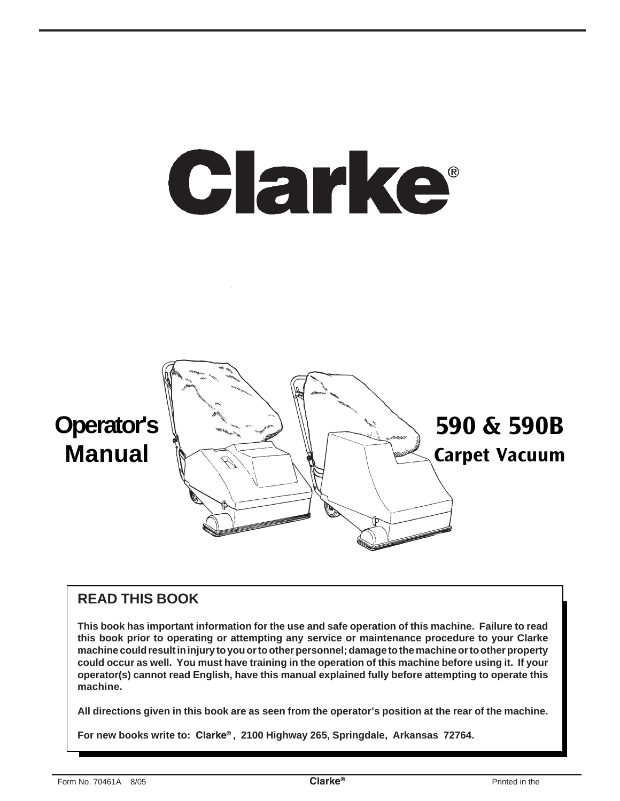# Clarke®



# **READ THIS BOOK**

**This book has important information for the use and safe operation of this machine. Failure to read this book prior to operating or attempting any service or maintenance procedure to your Clarke machine could result in injury to you or to other personnel; damage to the machine or to other property could occur as well. You must have training in the operation of this machine before using it. If your operator(s) cannot read English, have this manual explained fully before attempting to operate this machine.**

**All directions given in this book are as seen from the operator's position at the rear of the machine.**

**For new books write to: Clarke® , 2100 Highway 265, Springdale, Arkansas 72764.**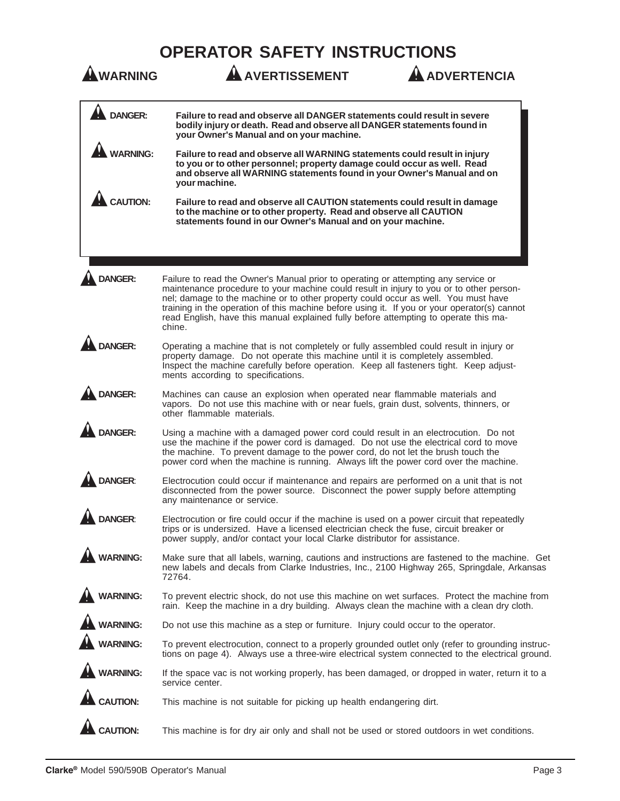|                   | <b>OPERATOR SAFETY INSTRUCTIONS</b>                                                                                                                                                                                                                                                                                                                                                                                                                                   |                      |
|-------------------|-----------------------------------------------------------------------------------------------------------------------------------------------------------------------------------------------------------------------------------------------------------------------------------------------------------------------------------------------------------------------------------------------------------------------------------------------------------------------|----------------------|
| <b>WARNING</b>    | <b>A AVERTISSEMENT</b>                                                                                                                                                                                                                                                                                                                                                                                                                                                | <b>A ADVERTENCIA</b> |
| <b>DANGER:</b>    | Failure to read and observe all DANGER statements could result in severe<br>bodily injury or death. Read and observe all DANGER statements found in<br>your Owner's Manual and on your machine.                                                                                                                                                                                                                                                                       |                      |
| <b>WARNING:</b>   | Failure to read and observe all WARNING statements could result in injury<br>to you or to other personnel; property damage could occur as well. Read<br>and observe all WARNING statements found in your Owner's Manual and on<br>your machine.                                                                                                                                                                                                                       |                      |
| <b>CAUTION:</b>   | Failure to read and observe all CAUTION statements could result in damage<br>to the machine or to other property. Read and observe all CAUTION<br>statements found in our Owner's Manual and on your machine.                                                                                                                                                                                                                                                         |                      |
|                   |                                                                                                                                                                                                                                                                                                                                                                                                                                                                       |                      |
| <b>DANGER:</b>    | Failure to read the Owner's Manual prior to operating or attempting any service or<br>maintenance procedure to your machine could result in injury to you or to other person-<br>nel; damage to the machine or to other property could occur as well. You must have<br>training in the operation of this machine before using it. If you or your operator(s) cannot<br>read English, have this manual explained fully before attempting to operate this ma-<br>chine. |                      |
| DANGER:           | Operating a machine that is not completely or fully assembled could result in injury or<br>property damage. Do not operate this machine until it is completely assembled.<br>Inspect the machine carefully before operation. Keep all fasteners tight. Keep adjust-<br>ments according to specifications.                                                                                                                                                             |                      |
| <b>DANGER:</b>    | Machines can cause an explosion when operated near flammable materials and<br>vapors. Do not use this machine with or near fuels, grain dust, solvents, thinners, or<br>other flammable materials.                                                                                                                                                                                                                                                                    |                      |
| DANGER:           | Using a machine with a damaged power cord could result in an electrocution. Do not<br>use the machine if the power cord is damaged. Do not use the electrical cord to move<br>the machine. To prevent damage to the power cord, do not let the brush touch the<br>power cord when the machine is running. Always lift the power cord over the machine.                                                                                                                |                      |
| <b>DANGER:</b>    | Electrocution could occur if maintenance and repairs are performed on a unit that is not<br>disconnected from the power source. Disconnect the power supply before attempting<br>any maintenance or service.                                                                                                                                                                                                                                                          |                      |
| <b>DANGER:</b>    | Electrocution or fire could occur if the machine is used on a power circuit that repeatedly<br>trips or is undersized. Have a licensed electrician check the fuse, circuit breaker or<br>power supply, and/or contact your local Clarke distributor for assistance.                                                                                                                                                                                                   |                      |
| <b>WARNING:</b>   | Make sure that all labels, warning, cautions and instructions are fastened to the machine. Get<br>new labels and decals from Clarke Industries, Inc., 2100 Highway 265, Springdale, Arkansas<br>72764.                                                                                                                                                                                                                                                                |                      |
| <b>WARNING:</b>   | To prevent electric shock, do not use this machine on wet surfaces. Protect the machine from<br>rain. Keep the machine in a dry building. Always clean the machine with a clean dry cloth.                                                                                                                                                                                                                                                                            |                      |
| <b>WARNING:</b>   | Do not use this machine as a step or furniture. Injury could occur to the operator.                                                                                                                                                                                                                                                                                                                                                                                   |                      |
| <b>WARNING:</b>   | To prevent electrocution, connect to a properly grounded outlet only (refer to grounding instruc-<br>tions on page 4). Always use a three-wire electrical system connected to the electrical ground.                                                                                                                                                                                                                                                                  |                      |
| <b>WARNING:</b>   | If the space vac is not working properly, has been damaged, or dropped in water, return it to a<br>service center.                                                                                                                                                                                                                                                                                                                                                    |                      |
| <b>A</b> CAUTION: | This machine is not suitable for picking up health endangering dirt.                                                                                                                                                                                                                                                                                                                                                                                                  |                      |
| <b>CAUTION:</b>   | This machine is for dry air only and shall not be used or stored outdoors in wet conditions.                                                                                                                                                                                                                                                                                                                                                                          |                      |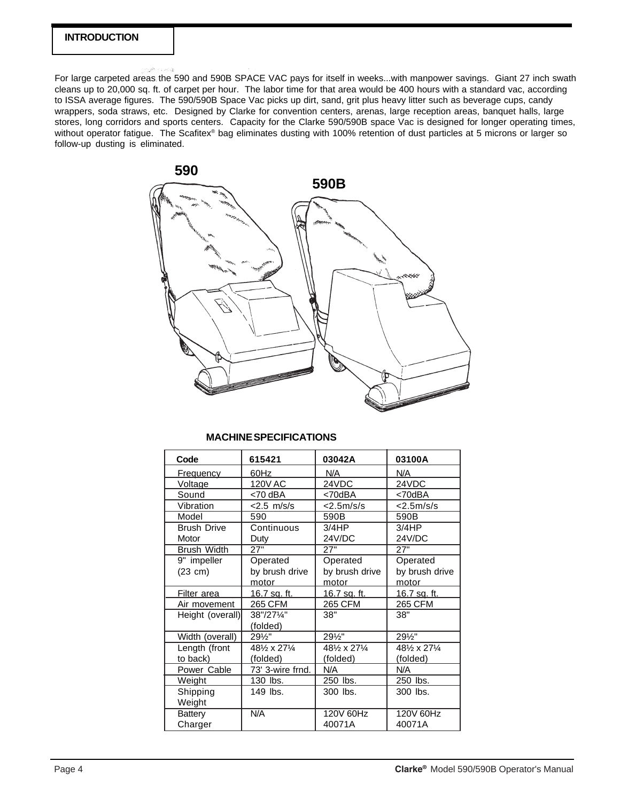#### **INTRODUCTION**

nya.

For large carpeted areas the 590 and 590B SPACE VAC pays for itself in weeks...with manpower savings. Giant 27 inch swath cleans up to 20,000 sq. ft. of carpet per hour. The labor time for that area would be 400 hours with a standard vac, according to ISSA average figures. The 590/590B Space Vac picks up dirt, sand, grit plus heavy litter such as beverage cups, candy wrappers, soda straws, etc. Designed by Clarke for convention centers, arenas, large reception areas, banquet halls, large stores, long corridors and sports centers. Capacity for the Clarke 590/590B space Vac is designed for longer operating times, without operator fatigue. The Scafitex® bag eliminates dusting with 100% retention of dust particles at 5 microns or larger so follow-up dusting is eliminated.



#### **MACHINE SPECIFICATIONS**

| Code               | 615421           | 03042A              | 03100A              |
|--------------------|------------------|---------------------|---------------------|
| Frequency          | 60Hz             | N/A                 | N/A                 |
| Voltage            | 120V AC          | 24VDC               | 24VDC               |
| Sound              | $<$ 70 dBA       | <70dBA              | <70dBA              |
| Vibration          | $< 2.5$ m/s/s    | <2.5m/s/s           | $<$ 2.5m/s/s        |
| Model              | 590              | 590B                | 590B                |
| <b>Brush Drive</b> | Continuous       | 3/4HP               | 3/4HP               |
| Motor              | Duty             | 24V/DC              | 24V/DC              |
| <b>Brush Width</b> | 27"              | 27"                 | 27"                 |
| 9" impeller        | Operated         | Operated            | Operated            |
| $(23 \text{ cm})$  | by brush drive   | by brush drive      | by brush drive      |
|                    | motor            | motor               | motor               |
| Filter area        | 16.7 sq. ft.     | <u>16.7 sq. ft.</u> | <u>16.7 sq. ft.</u> |
| Air movement       | 265 CFM          | 265 CFM             | 265 CFM             |
| Height (overall)   | 38"/271/4"       | 38"                 | 38"                 |
|                    | (folded)         |                     |                     |
| Width (overall)    | 291⁄2"           | 291/2"              | 291/2"              |
| Length (front      | 481/2 x 271/4    | 481/2 x 271/4       | 481/2 x 271/4       |
| to back)           | (folded)         | (folded)            | (folded)            |
| Power Cable        | 73' 3-wire frnd. | N/A                 | N/A                 |
| Weight             | 130 lbs.         | 250 lbs.            | 250 lbs.            |
| Shipping           | 149 lbs.         | 300 lbs.            | 300 lbs.            |
| Weight             |                  |                     |                     |
| <b>Battery</b>     | N/A              | 120V 60Hz           | 120V 60Hz           |
| Charger            |                  | 40071A              | 40071A              |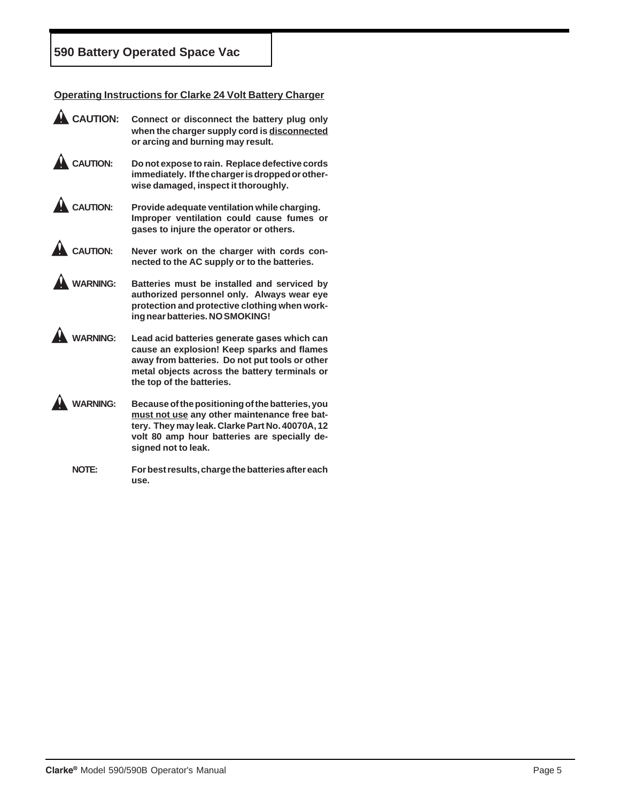# **590 Battery Operated Space Vac**

**Operating Instructions for Clarke 24 Volt Battery Charger**

| $\mathbf{\hat{A}}$ CAUTION: | Connect or disconnect the battery plug only<br>when the charger supply cord is disconnected<br>or arcing and burning may result.                                                                                           |
|-----------------------------|----------------------------------------------------------------------------------------------------------------------------------------------------------------------------------------------------------------------------|
| $\mathbf{\Lambda}$ CAUTION: | Do not expose to rain. Replace defective cords<br>immediately. If the charger is dropped or other-<br>wise damaged, inspect it thoroughly.                                                                                 |
| $\mathbf A$ CAUTION:        | Provide adequate ventilation while charging.<br>Improper ventilation could cause fumes or<br>gases to injure the operator or others.                                                                                       |
| $\mathbf A$ CAUTION:        | Never work on the charger with cords con-<br>nected to the AC supply or to the batteries.                                                                                                                                  |
| A WARNING:                  | Batteries must be installed and serviced by<br>authorized personnel only. Always wear eye<br>protection and protective clothing when work-<br>ing near batteries. NO SMOKING!                                              |
| $\mathbf{\hat{A}}$ warning: | Lead acid batteries generate gases which can<br>cause an explosion! Keep sparks and flames<br>away from batteries. Do not put tools or other<br>metal objects across the battery terminals or<br>the top of the batteries. |
| <b>WARNING:</b>             | Because of the positioning of the batteries, you<br>must not use any other maintenance free bat-<br>tery. They may leak. Clarke Part No. 40070A, 12<br>volt 80 amp hour batteries are specially de-<br>signed not to leak. |
| <b>NOTE:</b>                | For best results, charge the batteries after each<br>use.                                                                                                                                                                  |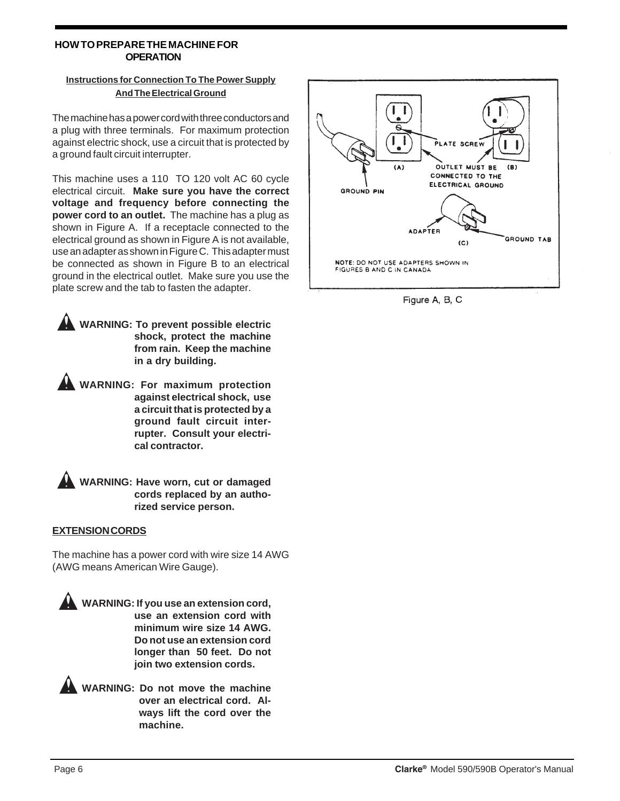#### **HOW TO PREPARE THE MACHINE FOR OPERATION**

#### **Instructions for Connection To The Power Supply And The Electrical Ground**

The machine has a power cord with three conductors and a plug with three terminals. For maximum protection against electric shock, use a circuit that is protected by a ground fault circuit interrupter.

This machine uses a 110 TO 120 volt AC 60 cycle electrical circuit. **Make sure you have the correct voltage and frequency before connecting the power cord to an outlet.** The machine has a plug as shown in Figure A. If a receptacle connected to the electrical ground as shown in Figure A is not available, use an adapter as shown in Figure C. This adapter must be connected as shown in Figure B to an electrical ground in the electrical outlet. Make sure you use the plate screw and the tab to fasten the adapter.

**WARNING: To prevent possible electric shock, protect the machine from rain. Keep the machine in a dry building.**

**WARNING: For maximum protection against electrical shock, use a circuit that is protected by a ground fault circuit interrupter. Consult your electrical contractor.**

**WARNING: Have worn, cut or damaged cords replaced by an authorized service person.**

### **EXTENSION CORDS**

The machine has a power cord with wire size 14 AWG (AWG means American Wire Gauge).

**WARNING: If you use an extension cord, use an extension cord with minimum wire size 14 AWG. Do not use an extension cord longer than 50 feet. Do not join two extension cords.**

**WARNING: Do not move the machine over an electrical cord. Always lift the cord over the machine.**



Figure A, B, C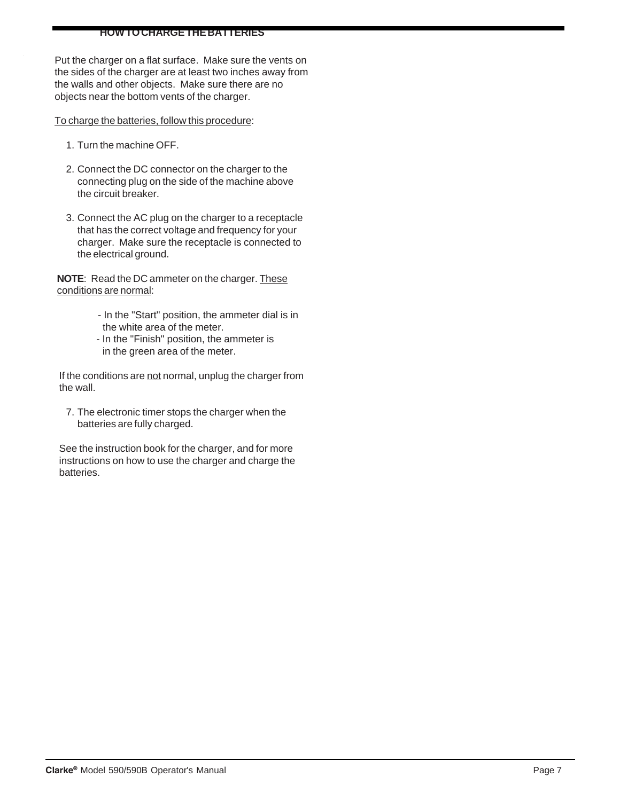#### **HOW TO CHARGE THE BATTERIES**

Put the charger on a flat surface. Make sure the vents on the sides of the charger are at least two inches away from the walls and other objects. Make sure there are no objects near the bottom vents of the charger.

To charge the batteries, follow this procedure:

- 1. Turn the machine OFF.
- 2. Connect the DC connector on the charger to the connecting plug on the side of the machine above the circuit breaker.
- 3. Connect the AC plug on the charger to a receptacle that has the correct voltage and frequency for your charger. Make sure the receptacle is connected to the electrical ground.

**NOTE**: Read the DC ammeter on the charger. These conditions are normal:

- In the "Start" position, the ammeter dial is in the white area of the meter.
- In the "Finish" position, the ammeter is in the green area of the meter.

If the conditions are not normal, unplug the charger from the wall.

7. The electronic timer stops the charger when the batteries are fully charged.

See the instruction book for the charger, and for more instructions on how to use the charger and charge the batteries.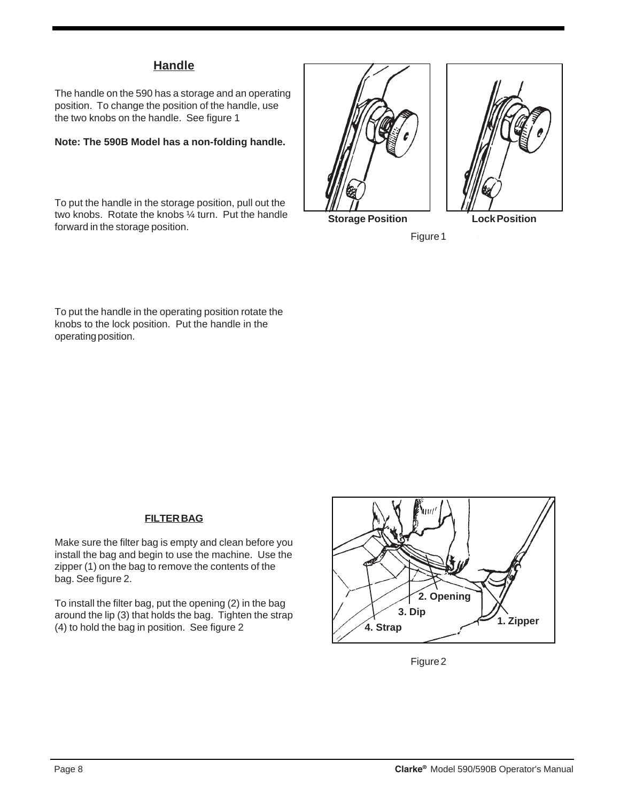# **Handle**

The handle on the 590 has a storage and an operating position. To change the position of the handle, use the two knobs on the handle. See figure 1

#### **Note: The 590B Model has a non-folding handle.**

To put the handle in the storage position, pull out the two knobs. Rotate the knobs ¼ turn. Put the handle forward in the storage position.





**Storage Position Concrete Contract Concrete Position** 

Figure 1

To put the handle in the operating position rotate the knobs to the lock position. Put the handle in the operating position.

### **FILTER BAG**

Make sure the filter bag is empty and clean before you install the bag and begin to use the machine. Use the zipper (1) on the bag to remove the contents of the bag. See figure 2.

To install the filter bag, put the opening (2) in the bag around the lip (3) that holds the bag. Tighten the strap (4) to hold the bag in position. See figure 2



Figure 2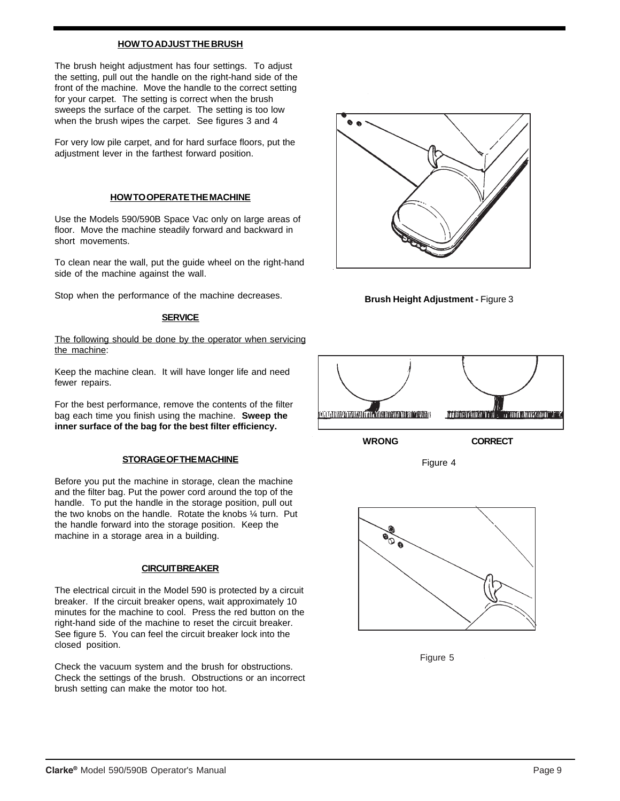#### **HOW TO ADJUST THE BRUSH**

The brush height adjustment has four settings. To adjust the setting, pull out the handle on the right-hand side of the front of the machine. Move the handle to the correct setting for your carpet. The setting is correct when the brush sweeps the surface of the carpet. The setting is too low when the brush wipes the carpet. See figures 3 and 4

For very low pile carpet, and for hard surface floors, put the adjustment lever in the farthest forward position.

#### **HOW TO OPERATE THE MACHINE**

Use the Models 590/590B Space Vac only on large areas of floor. Move the machine steadily forward and backward in short movements.

To clean near the wall, put the guide wheel on the right-hand side of the machine against the wall.

Stop when the performance of the machine decreases.

#### **SERVICE**

The following should be done by the operator when servicing the machine:

Keep the machine clean. It will have longer life and need fewer repairs.

For the best performance, remove the contents of the filter bag each time you finish using the machine. **Sweep the inner surface of the bag for the best filter efficiency.**

#### **STORAGE OF THE MACHINE**

Before you put the machine in storage, clean the machine and the filter bag. Put the power cord around the top of the handle. To put the handle in the storage position, pull out the two knobs on the handle. Rotate the knobs ¼ turn. Put the handle forward into the storage position. Keep the machine in a storage area in a building.

#### **CIRCUIT BREAKER**

The electrical circuit in the Model 590 is protected by a circuit breaker. If the circuit breaker opens, wait approximately 10 minutes for the machine to cool. Press the red button on the right-hand side of the machine to reset the circuit breaker. See figure 5. You can feel the circuit breaker lock into the closed position.

Check the vacuum system and the brush for obstructions. Check the settings of the brush. Obstructions or an incorrect brush setting can make the motor too hot.



**Brush Height Adjustment -** Figure 3







Figure 5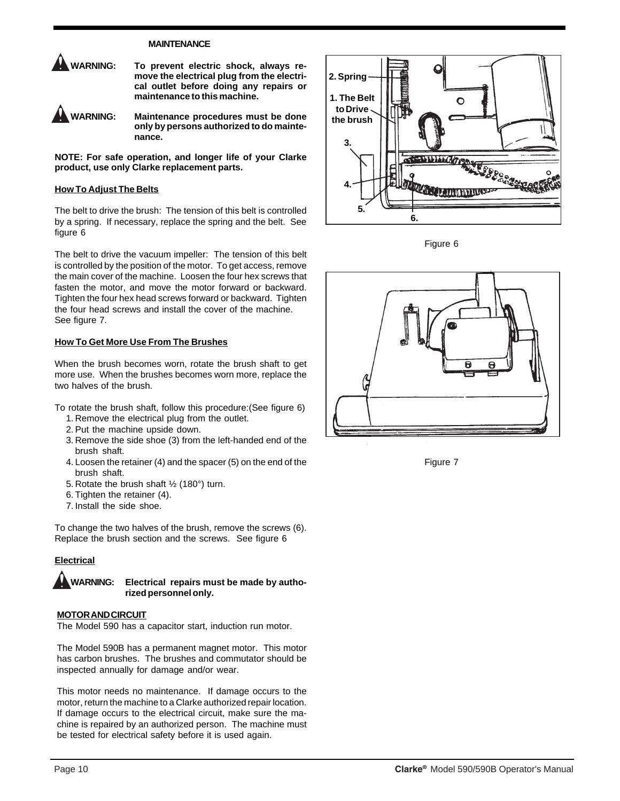#### **MAINTENANCE**



**WARNING: To prevent electric shock, always remove the electrical plug from the electrical outlet before doing any repairs or maintenance to this machine.**

**WARNING: Maintenance procedures must be done only by persons authorized to do maintenance.**

**NOTE: For safe operation, and longer life of your Clarke product, use only Clarke replacement parts.**

#### **How To Adjust The Belts**

The belt to drive the brush: The tension of this belt is controlled by a spring. If necessary, replace the spring and the belt. See figure 6

The belt to drive the vacuum impeller: The tension of this belt is controlled by the position of the motor. To get access, remove the main cover of the machine. Loosen the four hex screws that fasten the motor, and move the motor forward or backward. Tighten the four hex head screws forward or backward. Tighten the four head screws and install the cover of the machine. See figure 7.

#### **How To Get More Use From The Brushes**

When the brush becomes worn, rotate the brush shaft to get more use. When the brushes becomes worn more, replace the two halves of the brush.

To rotate the brush shaft, follow this procedure:(See figure 6)

- 1. Remove the electrical plug from the outlet.
- 2. Put the machine upside down.
- 3. Remove the side shoe (3) from the left-handed end of the brush shaft.
- 4. Loosen the retainer (4) and the spacer (5) on the end of the brush shaft.
- 5. Rotate the brush shaft ½ (180°) turn.
- 6. Tighten the retainer (4).
- 7. Install the side shoe.

To change the two halves of the brush, remove the screws (6). Replace the brush section and the screws. See figure 6

#### **Electrical**

**WARNING: Electrical repairs must be made by authorized personnel only.**

#### **MOTOR AND CIRCUIT**

The Model 590 has a capacitor start, induction run motor.

The Model 590B has a permanent magnet motor. This motor has carbon brushes. The brushes and commutator should be inspected annually for damage and/or wear.

This motor needs no maintenance. If damage occurs to the motor, return the machine to a Clarke authorized repair location. If damage occurs to the electrical circuit, make sure the machine is repaired by an authorized person. The machine must be tested for electrical safety before it is used again.



Figure 6



Figure 7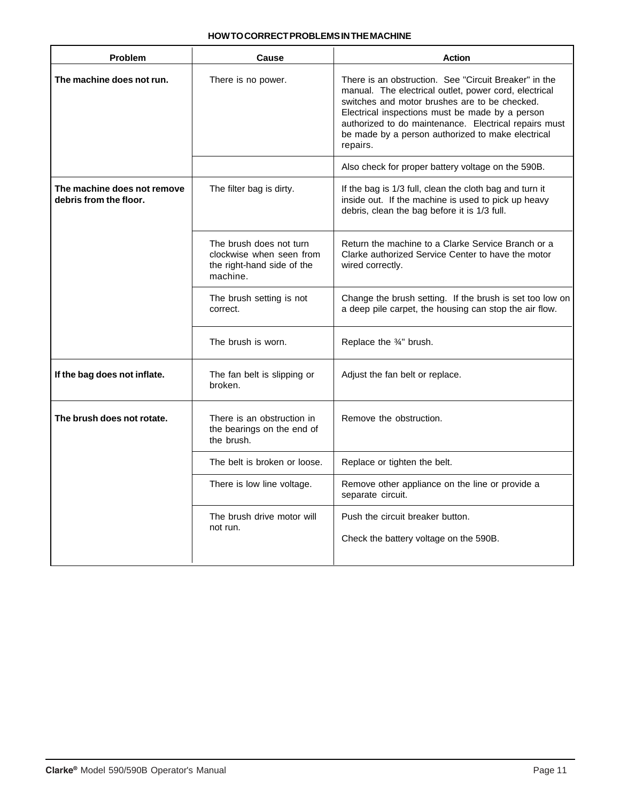#### **HOW TO CORRECT PROBLEMS IN THE MACHINE**

| <b>Problem</b>                                        | Cause                                                                                         | <b>Action</b>                                                                                                                                                                                                                                                                                                                                |
|-------------------------------------------------------|-----------------------------------------------------------------------------------------------|----------------------------------------------------------------------------------------------------------------------------------------------------------------------------------------------------------------------------------------------------------------------------------------------------------------------------------------------|
| The machine does not run.                             | There is no power.                                                                            | There is an obstruction. See "Circuit Breaker" in the<br>manual. The electrical outlet, power cord, electrical<br>switches and motor brushes are to be checked.<br>Electrical inspections must be made by a person<br>authorized to do maintenance. Electrical repairs must<br>be made by a person authorized to make electrical<br>repairs. |
|                                                       |                                                                                               | Also check for proper battery voltage on the 590B.                                                                                                                                                                                                                                                                                           |
| The machine does not remove<br>debris from the floor. | The filter bag is dirty.                                                                      | If the bag is 1/3 full, clean the cloth bag and turn it<br>inside out. If the machine is used to pick up heavy<br>debris, clean the bag before it is 1/3 full.                                                                                                                                                                               |
|                                                       | The brush does not turn<br>clockwise when seen from<br>the right-hand side of the<br>machine. | Return the machine to a Clarke Service Branch or a<br>Clarke authorized Service Center to have the motor<br>wired correctly.                                                                                                                                                                                                                 |
|                                                       | The brush setting is not<br>correct.                                                          | Change the brush setting. If the brush is set too low on<br>a deep pile carpet, the housing can stop the air flow.                                                                                                                                                                                                                           |
|                                                       | The brush is worn.                                                                            | Replace the 34" brush.                                                                                                                                                                                                                                                                                                                       |
| If the bag does not inflate.                          | The fan belt is slipping or<br>broken.                                                        | Adjust the fan belt or replace.                                                                                                                                                                                                                                                                                                              |
| The brush does not rotate.                            | There is an obstruction in<br>the bearings on the end of<br>the brush.                        | Remove the obstruction.                                                                                                                                                                                                                                                                                                                      |
|                                                       | The belt is broken or loose.                                                                  | Replace or tighten the belt.                                                                                                                                                                                                                                                                                                                 |
|                                                       | There is low line voltage.                                                                    | Remove other appliance on the line or provide a<br>separate circuit.                                                                                                                                                                                                                                                                         |
|                                                       | The brush drive motor will<br>not run.                                                        | Push the circuit breaker button.<br>Check the battery voltage on the 590B.                                                                                                                                                                                                                                                                   |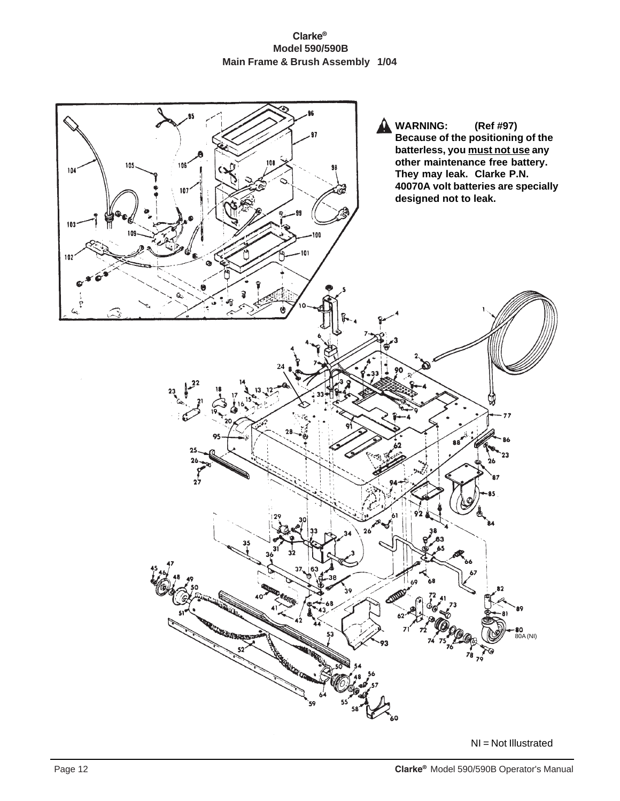#### **Clarke® Model 590/590B Main Frame & Brush Assembly 1/04**



NI = Not Illustrated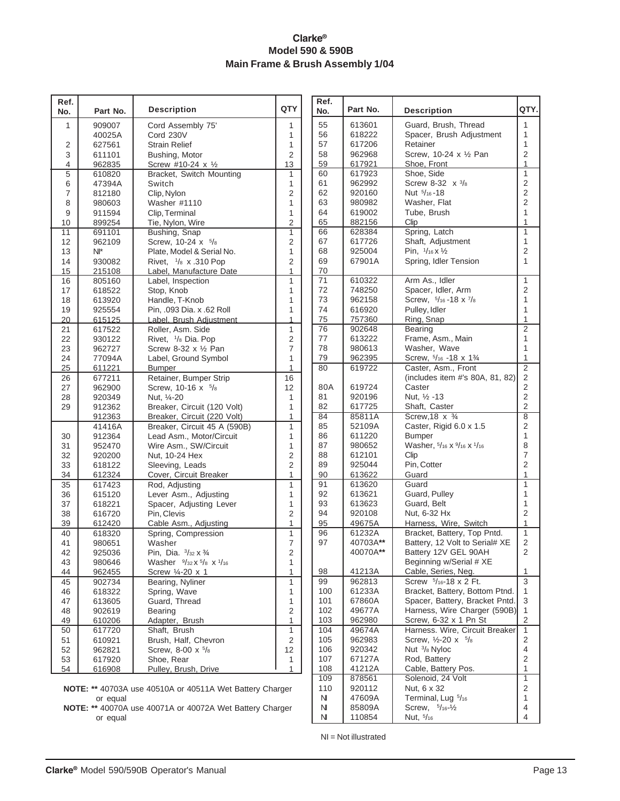#### **Clarke® Model 590 & 590B Main Frame & Brush Assembly 1/04**

| Ref.<br>No.    | Part No.         | <b>Description</b>                                     | QTY            | Ref.<br>No.     | Part No.         | <b>Description</b>                    |
|----------------|------------------|--------------------------------------------------------|----------------|-----------------|------------------|---------------------------------------|
| 1              | 909007           | Cord Assembly 75'                                      | 1              | 55              | 613601           | Guard, Brush                          |
|                | 40025A           | Cord 230V                                              | 1              | 56              | 618222           | Spacer, Brus                          |
| $\overline{c}$ | 627561           | Strain Relief                                          | 1              | 57              | 617206           | Retainer                              |
| 3              | 611101           | Bushing, Motor                                         | 2              | 58              | 962968           | Screw, 10-24                          |
| $\overline{4}$ | 962835           | Screw #10-24 x 1/2                                     | 13             | 59              | 617921           | Shoe, Front                           |
| $\overline{5}$ | 610820           | Bracket, Switch Mounting                               | 1              | 60              | 617923           | Shoe, Side                            |
| 6              | 47394A           | Switch                                                 | $\mathbf{1}$   | 61              | 962992           | Screw 8-32                            |
| $\overline{7}$ | 812180           | Clip, Nylon                                            | $\overline{2}$ | 62              | 920160           | Nut 5/16-18                           |
| 8              | 980603           | Washer #1110                                           | $\mathbf{1}$   | 63              | 980982           | Washer, Flat                          |
| 9              | 911594           | Clip, Terminal                                         | $\mathbf{1}$   | 64              | 619002           | Tube, Brush                           |
| 10             | 899254           | Tie, Nylon, Wire                                       | $\overline{2}$ | 65              | 882156           | Clip                                  |
| 11             | 691101           | Bushing, Snap                                          | $\overline{1}$ | 66              | 628384           | Spring, Latch                         |
| 12             | 962109           | Screw, 10-24 x 5/8                                     | $\overline{2}$ | 67              | 617726           | Shaft, Adjust                         |
| 13             | $N^*$            | Plate, Model & Serial No.                              | $\mathbf{1}$   | 68              | 925004           | Pin, $1/16 \times 1/2$                |
| 14             | 930082           | Rivet, 1/8 x .310 Pop                                  | $\overline{2}$ | 69              | 67901A           | Spring, Idler <sup>-</sup>            |
| 15             | 215108           | Label, Manufacture Date                                | 1              | 70              |                  |                                       |
| 16             | 805160           | Label, Inspection                                      | $\mathbf{1}$   | 71              | 610322           | Arm As., Idle                         |
| 17             | 618522           | Stop, Knob                                             | $\mathbf{1}$   | 72              | 748250           | Spacer, Idler                         |
| 18             | 613920           | Handle, T-Knob                                         | $\mathbf{1}$   | 73              | 962158           | Screw, 5/16-1                         |
| 19             | 925554           | Pin, .093 Dia. x .62 Roll                              | $\mathbf{1}$   | 74              | 616920           | Pulley, Idler                         |
| 20             | 615125           | Label. Brush Adiustment                                | 1              | 75              | 757360           | Ring, Snap                            |
| 21             | 617522           | Roller, Asm. Side                                      | $\mathbf{1}$   | $\overline{76}$ | 902648           | Bearing                               |
| 22             | 930122           | Rivet, <sup>1</sup> / <sub>8</sub> Dia. Pop            | $\overline{2}$ | 77              | 613222           | Frame, Asm.                           |
| 23             | 962727           | Screw 8-32 x 1/2 Pan                                   | $\overline{7}$ | 78              | 980613           | Washer, Wa                            |
| 24             | 77094A           | Label, Ground Symbol                                   | $\mathbf{1}$   | 79<br>80        | 962395<br>619722 | Screw, 5/16 -1                        |
| 25             | 611221           | <b>Bumper</b>                                          | $\mathbf{1}$   |                 |                  | Caster, Asm.<br>(includes iten        |
| 26             | 677211           | Retainer, Bumper Strip                                 | 16             | 80A             |                  | Caster                                |
| 27<br>28       | 962900<br>920349 | Screw, 10-16 x 5/8<br>Nut, 1⁄4-20                      | 12<br>1        | 81              | 619724<br>920196 | Nut, 1/2 -13                          |
| 29             | 912362           | Breaker, Circuit (120 Volt)                            | $\mathbf{1}$   | 82              | 617725           | Shaft, Caster                         |
|                | 912363           | Breaker, Circuit (220 Volt)                            | 1              | 84              | 85811A           | Screw, 18 x                           |
|                | 41416A           | Breaker, Circuit 45 A (590B)                           | $\mathbf{1}$   | 85              | 52109A           | Caster, Rigid                         |
| 30             | 912364           | Lead Asm., Motor/Circuit                               | $\mathbf{1}$   | 86              | 611220           | <b>Bumper</b>                         |
| 31             | 952470           | Wire Asm., SW/Circuit                                  | $\mathbf{1}$   | 87              | 980652           | Washer, 5/16 >                        |
| 32             | 920200           | Nut, 10-24 Hex                                         | $\overline{2}$ | 88              | 612101           | Clip                                  |
| 33             | 618122           | Sleeving, Leads                                        | $\overline{2}$ | 89              | 925044           | Pin, Cotter                           |
| 34             | 612324           | Cover, Circuit Breaker                                 | 1              | 90              | 613622           | Guard                                 |
| 35             | 617423           | Rod, Adjusting                                         | $\mathbf{1}$   | 91              | 613620           | Guard                                 |
| 36             | 615120           | Lever Asm., Adjusting                                  | $\mathbf{1}$   | 92              | 613621           | Guard, Pulley                         |
| 37             | 618221           | Spacer, Adjusting Lever                                | 1              | 93              | 613623           | Guard, Belt                           |
| 38             | 616720           | Pin, Clevis                                            | 2              | 94              | 920108           | Nut, 6-32 Hx                          |
| 39             | 612420           | Cable Asm., Adjusting                                  | $\mathbf{1}$   | 95              | 49675A           | Harness, Wii                          |
| 40             | 618320           | Spring, Compression                                    | $\mathbf{1}$   | 96              | 61232A           | Bracket, Batt                         |
| 41             | 980651           | Washer                                                 | $\overline{7}$ | 97              | 40703A**         | Battery, 12 V                         |
| 42             | 925036           | Pin, Dia. $\frac{3}{32} \times \frac{3}{4}$            | 2              |                 | 40070A**         | Battery 12V                           |
| 43             | 980646           | Washer $\frac{9}{32}$ x $\frac{5}{8}$ x $\frac{1}{16}$ | $\mathbf{1}$   |                 |                  | Beginning w/                          |
| 44             | 962455           | Screw 1/4-20 x 1                                       | 1              | 98              | 41213A           | Cable, Series                         |
| 45             | 902734           | Bearing, Nyliner                                       | 1              | 99              | 962813           | Screw 5/16-18                         |
| 46             | 618322           | Spring, Wave                                           | 1              | 100             | 61233A           | Bracket, Batt                         |
| 47             | 613605           | Guard, Thread                                          | 1              | 101             | 67860A           | Spacer, Batte                         |
| 48             | 902619           | <b>Bearing</b>                                         | $\overline{2}$ | 102             | 49677A           | Harness, Wir                          |
| 49             | 610206           | Adapter, Brush                                         | $\mathbf{1}$   | 103             | 962980           | Screw, 6-32                           |
| 50             | 617720           | Shaft, Brush                                           | 1              | 104             | 49674A           | Harness. Wir                          |
| 51             | 610921           | Brush, Half, Chevron                                   | 2              | 105             | 962983           | Screw, 1/2-20                         |
| 52             | 962821           | Screw, 8-00 x 5/8                                      | 12             | 106             | 920342           | Nut <sup>3</sup> / <sub>8</sub> Nyloc |
| 53             | 617920           | Shoe, Rear                                             | 1              | 107             | 67127A           | Rod, Battery                          |
| 54             | 616908           | Pulley, Brush, Drive                                   | $\mathbf{1}$   | 108             | 41212A           | Cable, Batter                         |

| Ref.<br>No. | Part No.         | Description                                       | QTY.                             |
|-------------|------------------|---------------------------------------------------|----------------------------------|
| 55          | 613601           | Guard, Brush, Thread                              | 1                                |
| 56          | 618222           | Spacer, Brush Adjustment                          | 1                                |
| 57          | 617206           | Retainer                                          | 1                                |
| 58          | 962968           | Screw, 10-24 x 1/2 Pan                            | $\overline{2}$                   |
| 59          | 617921           | Shoe, Front                                       | 1                                |
| 60          | 617923           | Shoe, Side                                        | 1                                |
| 61          | 962992           | Screw 8-32 x 3/8                                  | $\overline{c}$                   |
| 62          | 920160           | Nut 5/16-18                                       | $\overline{\mathbf{c}}$          |
| 63          | 980982           | Washer, Flat                                      | $\overline{2}$                   |
| 64          | 619002           | Tube, Brush                                       | 1                                |
| 65          | 882156           | Clip                                              | 1                                |
| 66          | 628384           | Spring, Latch                                     | $\overline{1}$                   |
| 67          | 617726           | Shaft, Adjustment                                 | 1                                |
| 68          | 925004           | Pin, $1/16 \times 1/2$                            | $\overline{2}$                   |
| 69          | 67901A           | Spring, Idler Tension                             | 1                                |
| 70          |                  |                                                   |                                  |
| 71          | 610322           | Arm As., Idler                                    | 1                                |
| 72          | 748250           | Spacer, Idler, Arm                                | $\overline{2}$                   |
| 73          | 962158           | Screw, 5/16-18 x 7/8                              | 1                                |
| 74          | 616920           | Pulley, Idler                                     | 1                                |
| 75          | 757360           | Ring, Snap                                        | 1                                |
| 76          | 902648           | Bearing                                           | $\overline{2}$                   |
| 77          | 613222           | Frame, Asm., Main                                 | 1                                |
| 78          | 980613           | Washer, Wave                                      | 1                                |
| 79          | 962395           | Screw, $5/16 - 18 \times 1\frac{3}{4}$            | 1                                |
| 80          | 619722           | Caster, Asm., Front                               | $\overline{2}$                   |
|             |                  | (includes item #'s 80A, 81, 82)                   | $\overline{\mathbf{c}}$          |
| 80A         | 619724           | Caster                                            | $\overline{c}$                   |
| 81<br>82    | 920196<br>617725 | Nut, 1/2 -13                                      | $\overline{2}$<br>$\overline{2}$ |
| 84          | 85811A           | Shaft, Caster<br>Screw, 18 $\times$ $\frac{3}{4}$ | $\overline{\bf 8}$               |
| 85          | 52109A           | Caster, Rigid 6.0 x 1.5                           | $\overline{2}$                   |
| 86          | 611220           | <b>Bumper</b>                                     | 1                                |
| 87          | 980652           | Washer, 5/16 X 9/16 X 1/16                        | 8                                |
| 88          | 612101           | Clip                                              | 7                                |
| 89          | 925044           | Pin, Cotter                                       | $\overline{2}$                   |
| 90          | 613622           | Guard                                             | $\mathbf 1$                      |
| 91          | 613620           | Guard                                             | 1                                |
| 92          | 613621           | Guard, Pulley                                     | 1                                |
| 93          | 613623           | Guard, Belt                                       | 1                                |
| 94          | 920108           | Nut, 6-32 Hx                                      | 2                                |
| 95          | 49675A           | Harness, Wire, Switch                             | 1                                |
| 96          | 61232A           | Bracket, Battery, Top Pntd.                       | $\overline{1}$                   |
| 97          | 40703A**         | Battery, 12 Volt to Serial# XE                    | $\overline{\mathbf{c}}$          |
|             | 40070A**         | Battery 12V GEL 90AH                              | 2                                |
|             |                  | Beginning w/Serial # XE                           |                                  |
| 98          | 41213A           | Cable, Series, Neg.                               | $\overline{1}$                   |
| 99          | 962813           | Screw 5/16-18 x 2 Ft.                             | $\overline{\overline{3}}$        |
| 100         | 61233A           | Bracket, Battery, Bottom Ptnd.                    | 1                                |
| 101         | 67860A           | Spacer, Battery, Bracket Pntd.                    | 3                                |
| 102         | 49677A           | Harness, Wire Charger (590B)                      | 1                                |
| 103         | 962980           | Screw, 6-32 x 1 Pn St                             | $\overline{c}$                   |
| 104         | 49674A           | Harness. Wire, Circuit Breaker                    | $\overline{1}$                   |
| 105         | 962983           | Screw, 1/2-20 x<br>$^{5}/_8$                      | $\overline{\mathbf{c}}$          |
| 106         | 920342           | Nut <sup>3</sup> / <sub>8</sub> Nyloc             | 4                                |
| 107         | 67127A           | Rod, Battery                                      | 2                                |
| 108         | 41212A           | Cable, Battery Pos.                               | 1                                |
| 109         | 878561           | Solenoid, 24 Volt                                 | 1                                |
| 110         | 920112           | Nut, 6 x 32                                       | 2                                |
| Ν           | 47609A           | Terminal, Lug 5/16                                | 1                                |
| Ν           | 85809A           | Screw, $5/16 - \frac{1}{2}$                       | 4                                |
| Ν           | 110854           | Nut, 5/16                                         | $\overline{\mathbf{4}}$          |

NI = Not illustrated

|          | <b>NOTE:</b> ** 40703A use 40510A or 40511A Wet Battery Charger |  |
|----------|-----------------------------------------------------------------|--|
| or equal |                                                                 |  |
|          | <b>NOTE:</b> ** 40070A use 40071A or 40072A Wet Battery Charger |  |

or equal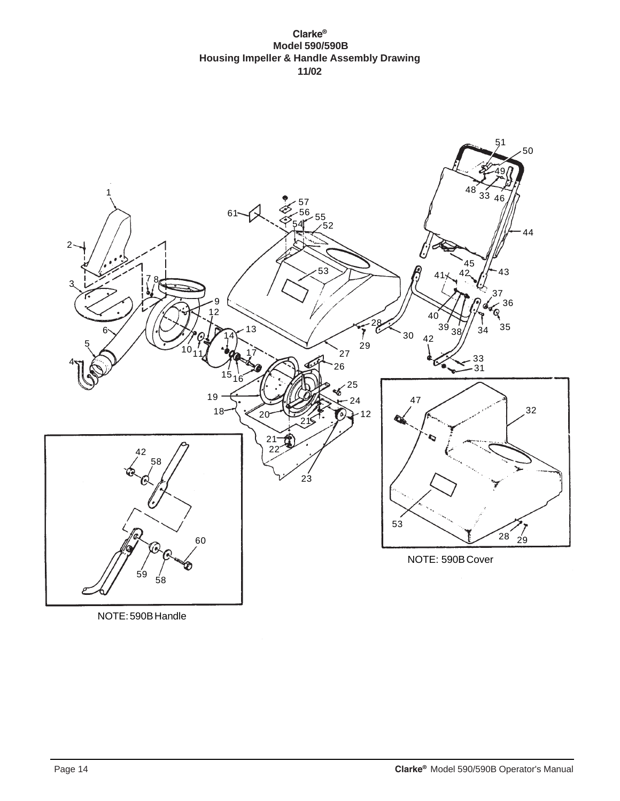#### **Clarke® Model 590/590B Housing Impeller & Handle Assembly Drawing 11/02**



NOTE: 590B Handle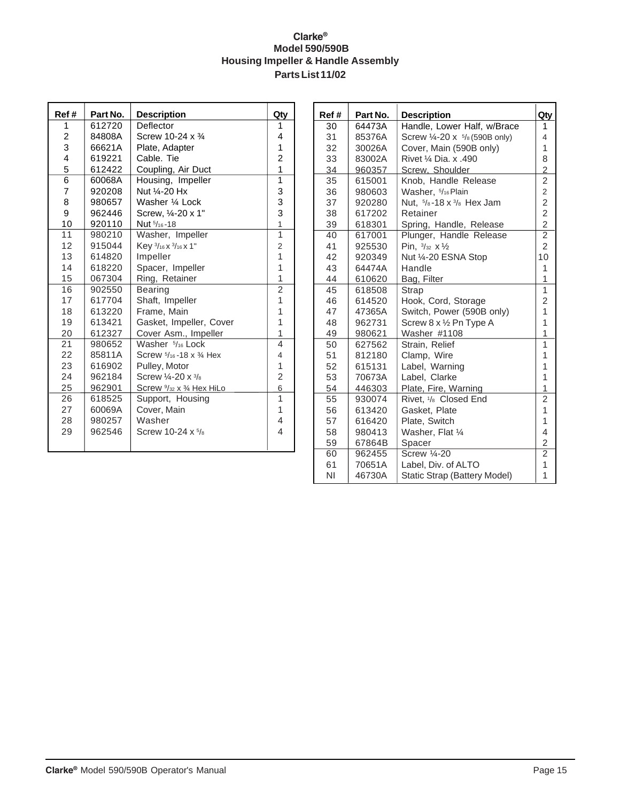#### **Clarke® Model 590/590B Housing Impeller & Handle Assembly Parts List 11/02**

| Ref#           | Part No. | <b>Description</b>                      | Qty                                        |
|----------------|----------|-----------------------------------------|--------------------------------------------|
| 1              | 612720   | Deflector                               | 1                                          |
| 2              | 84808A   | Screw 10-24 x 3/4                       | 4                                          |
| 3              | 66621A   | Plate, Adapter                          | 1                                          |
| $\overline{4}$ | 619221   | Cable. Tie                              | $\overline{c}$                             |
| 5              | 612422   | Coupling, Air Duct                      | $\mathbf 1$                                |
| 6              | 60068A   | Housing, Impeller                       | 1                                          |
| 7              | 920208   | Nut 1/4-20 Hx                           |                                            |
| 8              | 980657   | Washer 1/4 Lock                         | $\begin{array}{c} 3 \\ 3 \\ 3 \end{array}$ |
| 9              | 962446   | Screw, 1/4-20 x 1"                      |                                            |
| 10             | 920110   | Nut 5/16-18                             | $\mathbf{1}$                               |
| 11             | 980210   | Washer, Impeller                        | $\mathbf{1}$                               |
| 12             | 915044   | Key 3/16 x 3/16 x 1"                    | 2                                          |
| 13             | 614820   | Impeller                                | 1                                          |
| 14             | 618220   | Spacer, Impeller                        | 1                                          |
| 15             | 067304   | Ring, Retainer                          | 1                                          |
| 16             | 902550   | <b>Bearing</b>                          | $\overline{2}$                             |
| 17             | 617704   | Shaft, Impeller                         | 1                                          |
| 18             | 613220   | Frame, Main                             | 1                                          |
| 19             | 613421   | Gasket, Impeller, Cover                 | 1                                          |
| 20             | 612327   | Cover Asm., Impeller                    | 1                                          |
| 21             | 980652   | Washer $5/16$ Lock                      | 4                                          |
| 22             | 85811A   | Screw $5/16 - 18 \times 3/4$ Hex        | $\overline{\mathbf{4}}$                    |
| 23             | 616902   | Pulley, Motor                           | 1                                          |
| 24             | 962184   | Screw $\frac{1}{4}$ -20 x $\frac{3}{8}$ | $\overline{2}$                             |
| 25             | 962901   | Screw $\frac{9}{32}$ x 3/4 Hex HiLo     | 6                                          |
| 26             | 618525   | Support, Housing                        | 1                                          |
| 27             | 60069A   | Cover, Main                             | 1                                          |
| 28             | 980257   | Washer                                  | 4                                          |
| 29             | 962546   | Screw 10-24 x 5/8                       | $\overline{4}$                             |
|                |          |                                         |                                            |

| Ref# | Part No. | <b>Description</b>                  | Qty            |
|------|----------|-------------------------------------|----------------|
| 30   | 64473A   | Handle, Lower Half, w/Brace         | 1              |
| 31   | 85376A   | Screw 1/4-20 x 5/8 (590B only)      | 4              |
| 32   | 30026A   | Cover, Main (590B only)             | 1              |
| 33   | 83002A   | Rivet 1/4 Dia. x .490               | 8              |
| 34   | 960357   | Screw. Shoulder                     | $\overline{2}$ |
| 35   | 615001   | Knob, Handle Release                | 2              |
| 36   | 980603   | Washer, 5/16 Plain                  | $\overline{2}$ |
| 37   | 920280   | Nut, 5/8-18 x 3/8 Hex Jam           | $\overline{c}$ |
| 38   | 617202   | Retainer                            |                |
| 39   | 618301   | Spring, Handle, Release             | $\frac{2}{2}$  |
| 40   | 617001   | Plunger, Handle Release             | $\overline{2}$ |
| 41   | 925530   | Pin, $\frac{3}{32}$ x $\frac{1}{2}$ | $\overline{2}$ |
| 42   | 920349   | Nut 1/4-20 ESNA Stop                | 10             |
| 43   | 64474A   | Handle                              | 1              |
| 44   | 610620   | Bag, Filter                         | 1              |
| 45   | 618508   | Strap                               | $\overline{1}$ |
| 46   | 614520   | Hook, Cord, Storage                 | 2              |
| 47   | 47365A   | Switch, Power (590B only)           | $\overline{1}$ |
| 48   | 962731   | Screw 8 x 1/2 Pn Type A             | 1              |
| 49   | 980621   | Washer #1108                        | 1              |
| 50   | 627562   | Strain, Relief                      | 1              |
| 51   | 812180   | Clamp, Wire                         | 1              |
| 52   | 615131   | Label, Warning                      | 1              |
| 53   | 70673A   | Label. Clarke                       | $\overline{1}$ |
| 54   | 446303   | Plate, Fire, Warning                | 1              |
| 55   | 930074   | Rivet, 1/8 Closed End               | $\overline{c}$ |
| 56   | 613420   | Gasket, Plate                       | $\overline{1}$ |
| 57   | 616420   | Plate, Switch                       | 1              |
| 58   | 980413   | Washer, Flat 1/4                    | 4              |
| 59   | 67864B   | Spacer                              | $\overline{2}$ |
| 60   | 962455   | Screw 1/4-20                        | 2              |
| 61   | 70651A   | Label, Div. of ALTO                 | $\mathbf{1}$   |
| NI   | 46730A   | Static Strap (Battery Model)        | 1              |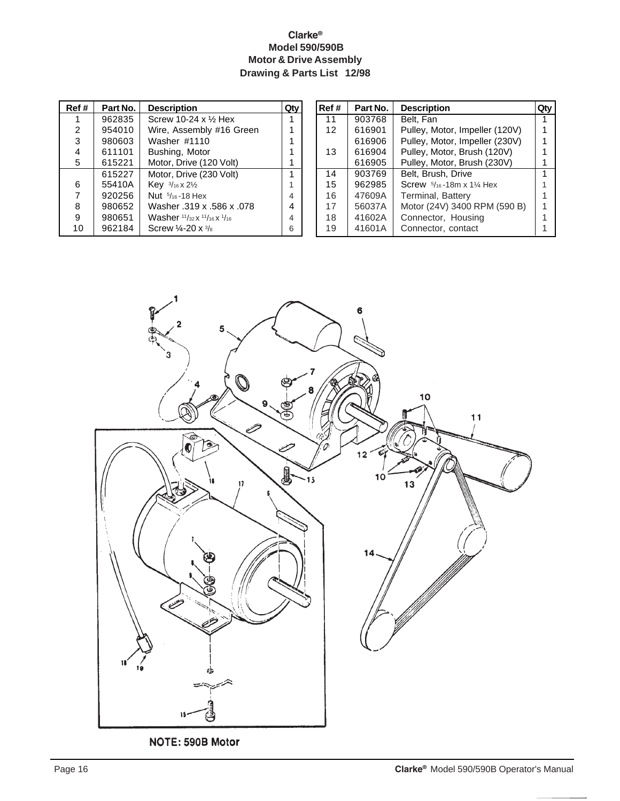#### **Clarke® Model 590/590B Motor & Drive Assembly Drawing & Parts List 12/98**

| Ref# | Part No. | <b>Description</b>                                               |   |
|------|----------|------------------------------------------------------------------|---|
| 1    | 962835   | Screw 10-24 $\times$ 1/ <sub>2</sub> Hex                         |   |
| 2    | 954010   | Wire, Assembly #16 Green                                         |   |
| 3    | 980603   | Washer #1110                                                     |   |
| 4    | 611101   | Bushing, Motor                                                   |   |
| 5    | 615221   | Motor, Drive (120 Volt)                                          |   |
|      | 615227   | Motor, Drive (230 Volt)                                          |   |
| 6    | 55410A   | Key 3/16 x 21/2                                                  |   |
| 7    | 920256   | Nut $5/16 - 18$ Hex                                              |   |
| 8    | 980652   | 078. Washer .319 x .586 x                                        | 4 |
| 9    | 980651   | <b>Washer</b> $\frac{11}{32}$ x $\frac{11}{16}$ x $\frac{1}{16}$ |   |
| 10   | 962184   | Screw $\frac{1}{4}$ -20 x $\frac{3}{8}$                          |   |
|      |          |                                                                  |   |

| Ref# | Part No. | <b>Description</b>             |  |
|------|----------|--------------------------------|--|
| 11   | 903768   | Belt, Fan                      |  |
| 12   | 616901   | Pulley, Motor, Impeller (120V) |  |
|      | 616906   | Pulley, Motor, Impeller (230V) |  |
| 13   | 616904   | Pulley, Motor, Brush (120V)    |  |
|      | 616905   | Pulley, Motor, Brush (230V)    |  |
| 14   | 903769   | Belt, Brush, Drive             |  |
| 15   | 962985   | Screw 5/16-18m x 11/4 Hex      |  |
| 16   | 47609A   | <b>Terminal, Battery</b>       |  |
| 17   | 56037A   | Motor (24V) 3400 RPM (590 B)   |  |
| 18   | 41602A   | Connector, Housing             |  |
| 19   | 41601A   | Connector, contact             |  |



NOTE: 590B Motor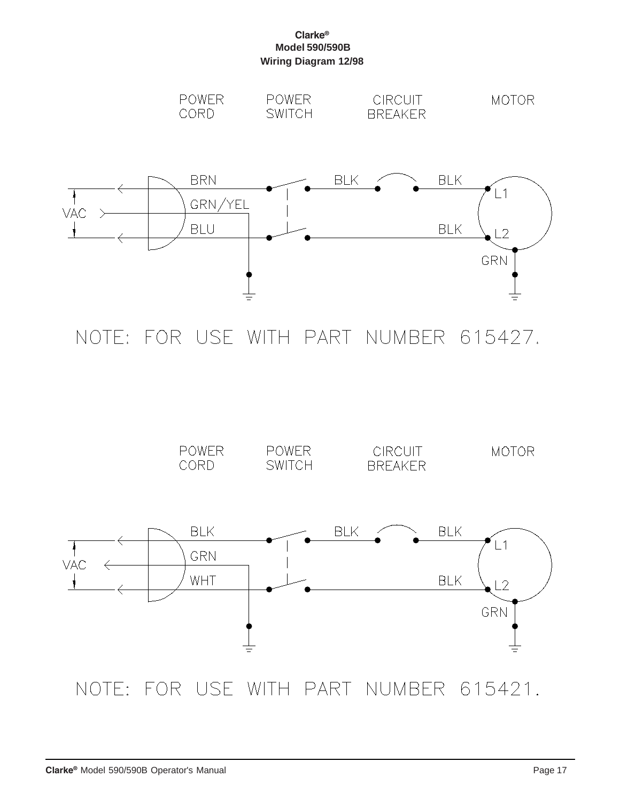**Clarke® Model 590/590B Wiring Diagram 12/98**



NOTE: FOR USE WITH PART NUMBER 615427.

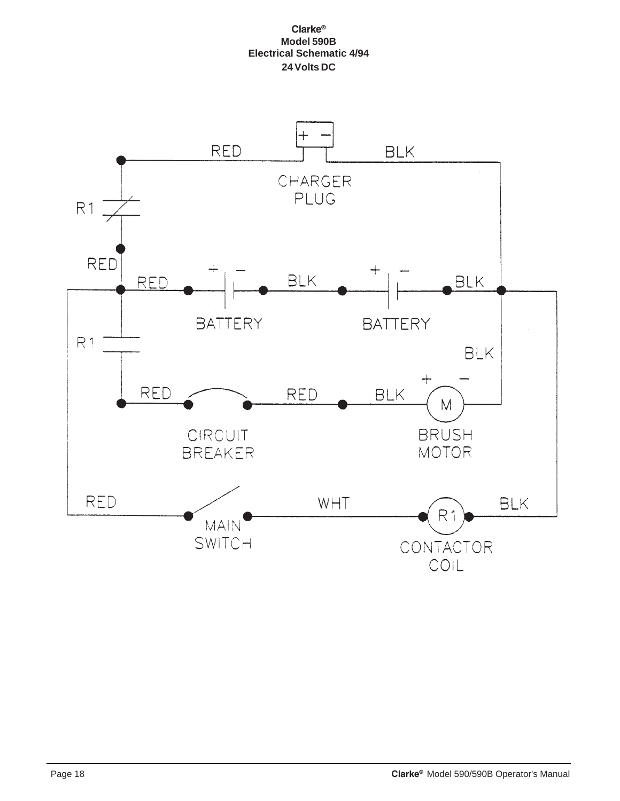#### **Clarke® Model 590B Electrical Schematic 4/94 24 Volts DC**

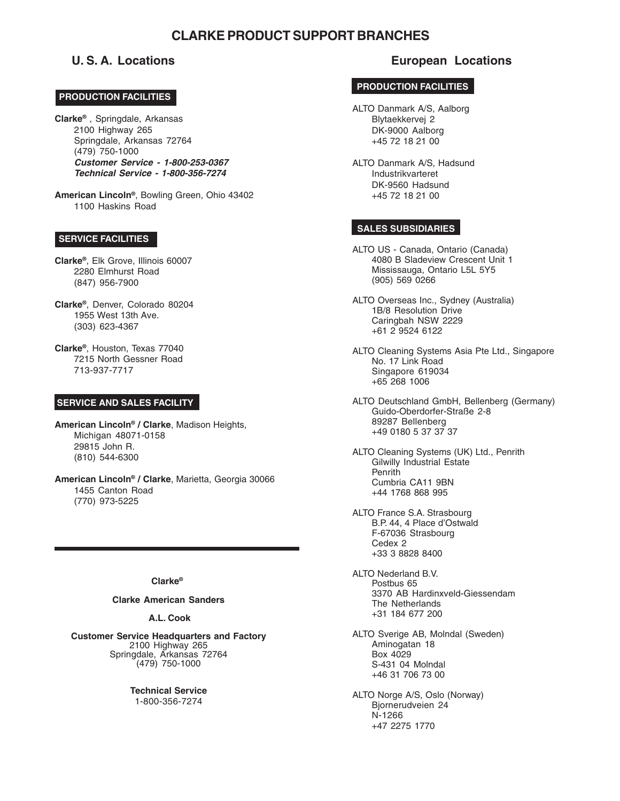## **CLARKE PRODUCT SUPPORT BRANCHES**

#### **CORPO PRODUCTION FACILITIES**

**Clarke®** , Springdale, Arkansas 2100 Highway 265 Springdale, Arkansas 72764 (479) 750-1000 **Customer Service - 1-800-253-0367 Technical Service - 1-800-356-7274**

**American Lincoln®**, Bowling Green, Ohio 43402 1100 Haskins Road

#### **SERVICE FACILITIES**

- **Clarke®**, Elk Grove, Illinois 60007 2280 Elmhurst Road (847) 956-7900
- **Clarke®**, Denver, Colorado 80204 1955 West 13th Ave. (303) 623-4367
- **Clarke®**, Houston, Texas 77040 7215 North Gessner Road 713-937-7717

#### **SERVICE AND SALES FACILITY**

**American Lincoln® / Clarke**, Madison Heights, Michigan 48071-0158 29815 John R. (810) 544-6300

**American Lincoln® / Clarke**, Marietta, Georgia 30066 1455 Canton Road (770) 973-5225

#### **Clarke®**

#### **Clarke American Sanders**

#### **A.L. Cook**

**Customer Service Headquarters and Factory** 2100 Highway 265 Springdale, Arkansas 72764 (479) 750-1000

> **Technical Service** 1-800-356-7274

#### **U. S. A. Locations European Locations**

#### **PRODUCTION FACILITIES**

ALTO Danmark A/S, Aalborg Blytaekkervej 2 DK-9000 Aalborg +45 72 18 21 00

ALTO Danmark A/S, Hadsund Industrikvarteret DK-9560 Hadsund +45 72 18 21 00

#### **SALES SUBSIDIARIES**

- ALTO US Canada, Ontario (Canada) 4080 B Sladeview Crescent Unit 1 Mississauga, Ontario L5L 5Y5 (905) 569 0266
- ALTO Overseas Inc., Sydney (Australia) 1B/8 Resolution Drive Caringbah NSW 2229 +61 2 9524 6122
- ALTO Cleaning Systems Asia Pte Ltd., Singapore No. 17 Link Road Singapore 619034 +65 268 1006
- ALTO Deutschland GmbH, Bellenberg (Germany) Guido-Oberdorfer-Straße 2-8 89287 Bellenberg +49 0180 5 37 37 37

ALTO Cleaning Systems (UK) Ltd., Penrith Gilwilly Industrial Estate Penrith Cumbria CA11 9BN +44 1768 868 995

ALTO France S.A. Strasbourg B.P. 44, 4 Place d'Ostwald F-67036 Strasbourg Cedex 2 +33 3 8828 8400

ALTO Nederland B.V. Postbus 65 3370 AB Hardinxveld-Giessendam The Netherlands +31 184 677 200

ALTO Sverige AB, Molndal (Sweden) Aminogatan 18 Box 4029 S-431 04 Molndal +46 31 706 73 00

ALTO Norge A/S, Oslo (Norway) Bjornerudveien 24 N-1266 +47 2275 1770